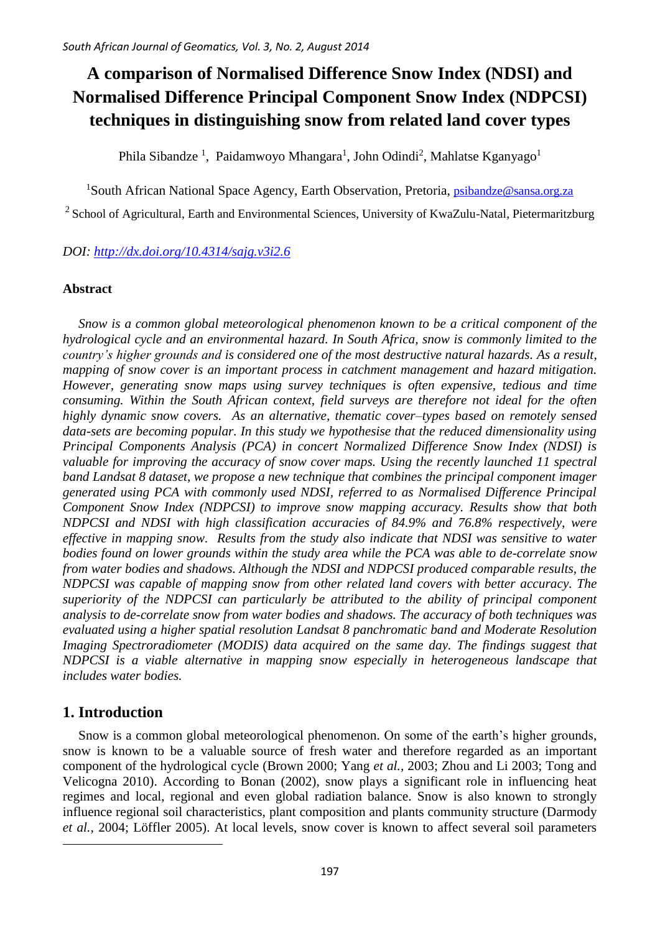# **A comparison of Normalised Difference Snow Index (NDSI) and Normalised Difference Principal Component Snow Index (NDPCSI) techniques in distinguishing snow from related land cover types**

Phila Sibandze<sup>1</sup>, Paidamwoyo Mhangara<sup>1</sup>, John Odindi<sup>2</sup>, Mahlatse Kganyago<sup>1</sup>

<sup>1</sup>South African National Space Agency, Earth Observation, Pretoria, [psibandze@sansa.org.za](mailto:psibandze@sansa.org.za)

<sup>2</sup> School of Agricultural, Earth and Environmental Sciences, University of KwaZulu-Natal, Pietermaritzburg

# *DOI:<http://dx.doi.org/10.4314/sajg.v3i2.6>*

## **Abstract**

*Snow is a common global meteorological phenomenon known to be a critical component of the hydrological cycle and an environmental hazard. In South Africa, snow is commonly limited to the country's higher grounds and is considered one of the most destructive natural hazards. As a result, mapping of snow cover is an important process in catchment management and hazard mitigation. However, generating snow maps using survey techniques is often expensive, tedious and time consuming. Within the South African context, field surveys are therefore not ideal for the often highly dynamic snow covers. As an alternative, thematic cover–types based on remotely sensed data-sets are becoming popular. In this study we hypothesise that the reduced dimensionality using Principal Components Analysis (PCA) in concert Normalized Difference Snow Index (NDSI) is valuable for improving the accuracy of snow cover maps. Using the recently launched 11 spectral band Landsat 8 dataset, we propose a new technique that combines the principal component imager generated using PCA with commonly used NDSI, referred to as Normalised Difference Principal Component Snow Index (NDPCSI) to improve snow mapping accuracy. Results show that both NDPCSI and NDSI with high classification accuracies of 84.9% and 76.8% respectively, were effective in mapping snow. Results from the study also indicate that NDSI was sensitive to water bodies found on lower grounds within the study area while the PCA was able to de-correlate snow from water bodies and shadows. Although the NDSI and NDPCSI produced comparable results, the NDPCSI was capable of mapping snow from other related land covers with better accuracy. The superiority of the NDPCSI can particularly be attributed to the ability of principal component analysis to de-correlate snow from water bodies and shadows. The accuracy of both techniques was evaluated using a higher spatial resolution Landsat 8 panchromatic band and Moderate Resolution Imaging Spectroradiometer (MODIS) data acquired on the same day. The findings suggest that NDPCSI is a viable alternative in mapping snow especially in heterogeneous landscape that includes water bodies.* 

# **1. Introduction**

**.** 

Snow is a common global meteorological phenomenon. On some of the earth's higher grounds, snow is known to be a valuable source of fresh water and therefore regarded as an important component of the hydrological cycle (Brown 2000; Yang *et al.,* 2003; Zhou and Li 2003; Tong and Velicogna 2010). According to Bonan (2002), snow plays a significant role in influencing heat regimes and local, regional and even global radiation balance. Snow is also known to strongly influence regional soil characteristics, plant composition and plants community structure (Darmody *et al.,* 2004; Löffler 2005). At local levels, snow cover is known to affect several soil parameters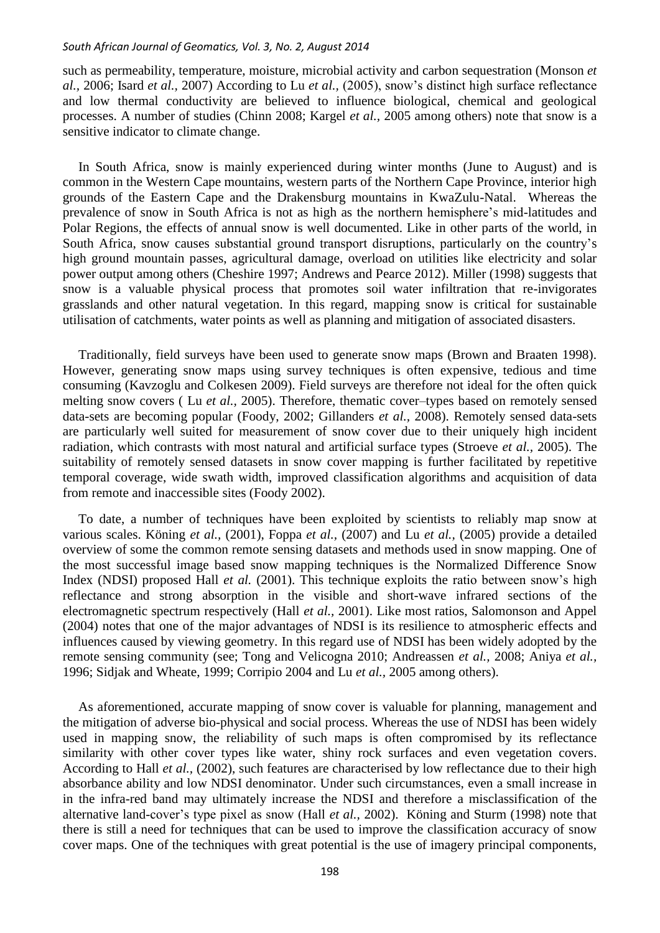such as permeability, temperature, moisture, microbial activity and carbon sequestration (Monson *et al.,* 2006; Isard *et al.,* 2007) According to Lu *et al.,* (2005), snow's distinct high surface reflectance and low thermal conductivity are believed to influence biological, chemical and geological processes. A number of studies (Chinn 2008; Kargel *et al.,* 2005 among others) note that snow is a sensitive indicator to climate change.

In South Africa, snow is mainly experienced during winter months (June to August) and is common in the Western Cape mountains, western parts of the Northern Cape Province, interior high grounds of the Eastern Cape and the Drakensburg mountains in KwaZulu-Natal. Whereas the prevalence of snow in South Africa is not as high as the northern hemisphere's mid-latitudes and Polar Regions, the effects of annual snow is well documented. Like in other parts of the world, in South Africa, snow causes substantial ground transport disruptions, particularly on the country's high ground mountain passes, agricultural damage, overload on utilities like electricity and solar power output among others (Cheshire 1997; Andrews and Pearce 2012). Miller (1998) suggests that snow is a valuable physical process that promotes soil water infiltration that re-invigorates grasslands and other natural vegetation. In this regard, mapping snow is critical for sustainable utilisation of catchments, water points as well as planning and mitigation of associated disasters.

Traditionally, field surveys have been used to generate snow maps (Brown and Braaten 1998). However, generating snow maps using survey techniques is often expensive, tedious and time consuming [\(Kavzoglu and Colkesen](#page-11-0) 2009). Field surveys are therefore not ideal for the often quick melting snow covers ( Lu *et al.,* 2005). Therefore, thematic cover–types based on remotely sensed data-sets are becoming popular (Foody, 2002; Gillanders *et al.,* 2008). Remotely sensed data-sets are particularly well suited for measurement of snow cover due to their uniquely high incident radiation, which contrasts with most natural and artificial surface types (Stroeve *et al.,* 2005). The suitability of remotely sensed datasets in snow cover mapping is further facilitated by repetitive temporal coverage, wide swath width, improved classification algorithms and acquisition of data from remote and inaccessible sites (Foody 2002).

To date, a number of techniques have been exploited by scientists to reliably map snow at various scales. Köning *et al.,* (2001), Foppa *et al.,* (2007) and Lu *et al.,* (2005) provide a detailed overview of some the common remote sensing datasets and methods used in snow mapping. One of the most successful image based snow mapping techniques is the Normalized Difference Snow Index (NDSI) proposed Hall *et al.* (2001). This technique exploits the ratio between snow's high reflectance and strong absorption in the visible and short-wave infrared sections of the electromagnetic spectrum respectively (Hall *et al.,* 2001). Like most ratios, Salomonson and Appel (2004) notes that one of the major advantages of NDSI is its resilience to atmospheric effects and influences caused by viewing geometry. In this regard use of NDSI has been widely adopted by the remote sensing community (see; Tong and Velicogna 2010; Andreassen *et al.,* 2008; Aniya *et al.,* 1996; Sidjak and Wheate, 1999; Corripio 2004 and Lu *et al.,* 2005 among others).

As aforementioned, accurate mapping of snow cover is valuable for planning, management and the mitigation of adverse bio-physical and social process. Whereas the use of NDSI has been widely used in mapping snow, the reliability of such maps is often compromised by its reflectance similarity with other cover types like water, shiny rock surfaces and even vegetation covers. According to Hall *et al.,* (2002), such features are characterised by low reflectance due to their high absorbance ability and low NDSI denominator. Under such circumstances, even a small increase in in the infra-red band may ultimately increase the NDSI and therefore a misclassification of the alternative land-cover's type pixel as snow (Hall *et al.,* 2002). Köning and Sturm (1998) note that there is still a need for techniques that can be used to improve the classification accuracy of snow cover maps. One of the techniques with great potential is the use of imagery principal components,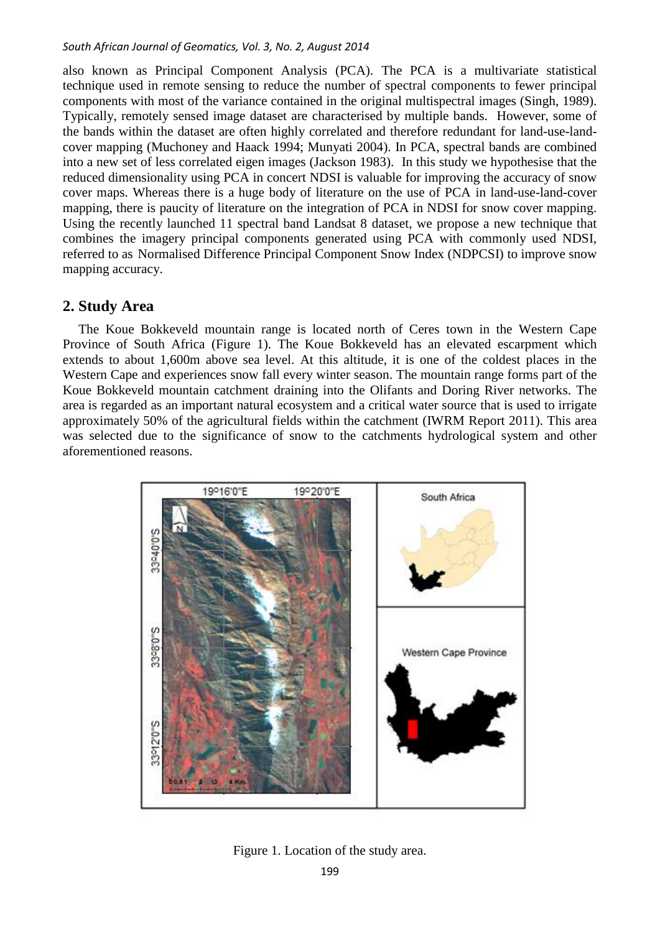also known as Principal Component Analysis (PCA). The PCA is a multivariate statistical technique used in remote sensing to reduce the number of spectral components to fewer principal components with most of the variance contained in the original multispectral images (Singh, 1989). Typically, remotely sensed image dataset are characterised by multiple bands. However, some of the bands within the dataset are often highly correlated and therefore redundant for land-use-landcover mapping (Muchoney and Haack 1994; Munyati 2004). In PCA, spectral bands are combined into a new set of less correlated eigen images (Jackson 1983). In this study we hypothesise that the reduced dimensionality using PCA in concert NDSI is valuable for improving the accuracy of snow cover maps. Whereas there is a huge body of literature on the use of PCA in land-use-land-cover mapping, there is paucity of literature on the integration of PCA in NDSI for snow cover mapping. Using the recently launched 11 spectral band Landsat 8 dataset, we propose a new technique that combines the imagery principal components generated using PCA with commonly used NDSI, referred to as Normalised Difference Principal Component Snow Index (NDPCSI) to improve snow mapping accuracy.

# **2. Study Area**

The Koue Bokkeveld mountain range is located north of Ceres town in the Western Cape Province of South Africa (Figure 1). The Koue Bokkeveld has an elevated escarpment which extends to about 1,600m above sea level. At this altitude, it is one of the coldest places in the Western Cape and experiences snow fall every winter season. The mountain range forms part of the Koue Bokkeveld mountain catchment draining into the Olifants and Doring River networks. The area is regarded as an important natural ecosystem and a critical water source that is used to irrigate approximately 50% of the agricultural fields within the catchment (IWRM Report 2011). This area was selected due to the significance of snow to the catchments hydrological system and other aforementioned reasons.



Figure 1. Location of the study area.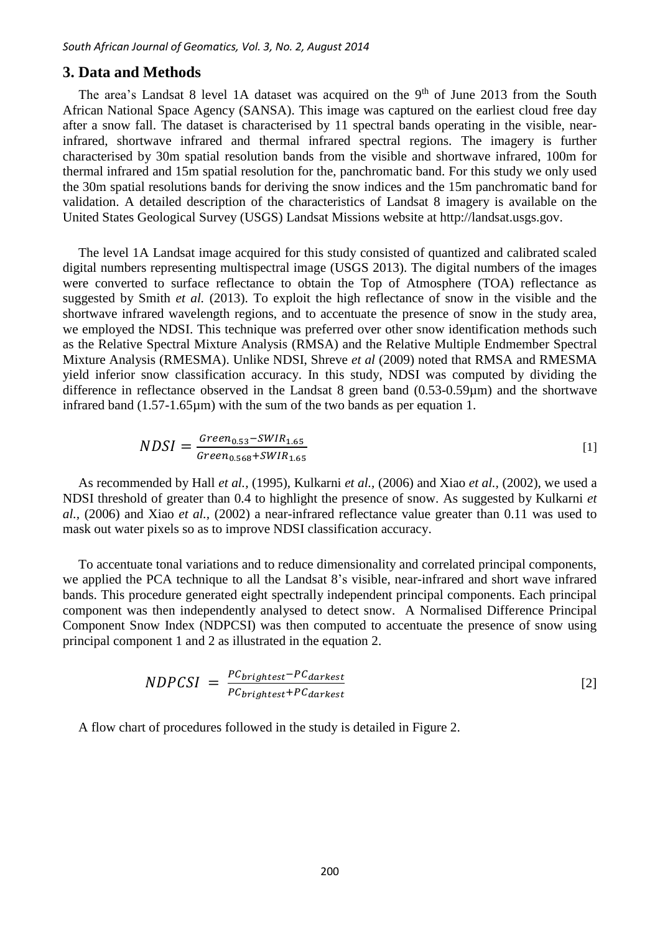## **3. Data and Methods**

The area's Landsat 8 level 1A dataset was acquired on the  $9<sup>th</sup>$  of June 2013 from the South African National Space Agency (SANSA). This image was captured on the earliest cloud free day after a snow fall. The dataset is characterised by 11 spectral bands operating in the visible, nearinfrared, shortwave infrared and thermal infrared spectral regions. The imagery is further characterised by 30m spatial resolution bands from the visible and shortwave infrared, 100m for thermal infrared and 15m spatial resolution for the, panchromatic band. For this study we only used the 30m spatial resolutions bands for deriving the snow indices and the 15m panchromatic band for validation. A detailed description of the characteristics of Landsat 8 imagery is available on the United States Geological Survey (USGS) Landsat Missions website at http://landsat.usgs.gov.

The level 1A Landsat image acquired for this study consisted of quantized and calibrated scaled digital numbers representing multispectral image (USGS 2013). The digital numbers of the images were converted to surface reflectance to obtain the Top of Atmosphere (TOA) reflectance as suggested by Smith *et al.* (2013). To exploit the high reflectance of snow in the visible and the shortwave infrared wavelength regions, and to accentuate the presence of snow in the study area, we employed the NDSI. This technique was preferred over other snow identification methods such as the Relative Spectral Mixture Analysis (RMSA) and the Relative Multiple Endmember Spectral Mixture Analysis (RMESMA). Unlike NDSI, Shreve *et al* (2009) noted that RMSA and RMESMA yield inferior snow classification accuracy. In this study, NDSI was computed by dividing the difference in reflectance observed in the Landsat 8 green band (0.53-0.59µm) and the shortwave infrared band  $(1.57-1.65\mu m)$  with the sum of the two bands as per equation 1.

$$
NDSI = \frac{Green_{0.53} - SWIR_{1.65}}{Green_{0.568} + SWIR_{1.65}}
$$
 [1]

As recommended by Hall *et al.,* (1995), Kulkarni *et al.,* (2006) and Xiao *et al.,* (2002), we used a NDSI threshold of greater than 0.4 to highlight the presence of snow. As suggested by Kulkarni *et al.,* (2006) and Xiao *et al.,* (2002) a near-infrared reflectance value greater than 0.11 was used to mask out water pixels so as to improve NDSI classification accuracy.

To accentuate tonal variations and to reduce dimensionality and correlated principal components, we applied the PCA technique to all the Landsat 8's visible, near-infrared and short wave infrared bands. This procedure generated eight spectrally independent principal components. Each principal component was then independently analysed to detect snow. A Normalised Difference Principal Component Snow Index (NDPCSI) was then computed to accentuate the presence of snow using principal component 1 and 2 as illustrated in the equation 2.

$$
NDPCSI = \frac{PC_{brightest} - PC_{darkest}}{PC_{brightest} + PC_{darkest}}
$$
\n<sup>[2]</sup>

A flow chart of procedures followed in the study is detailed in Figure 2.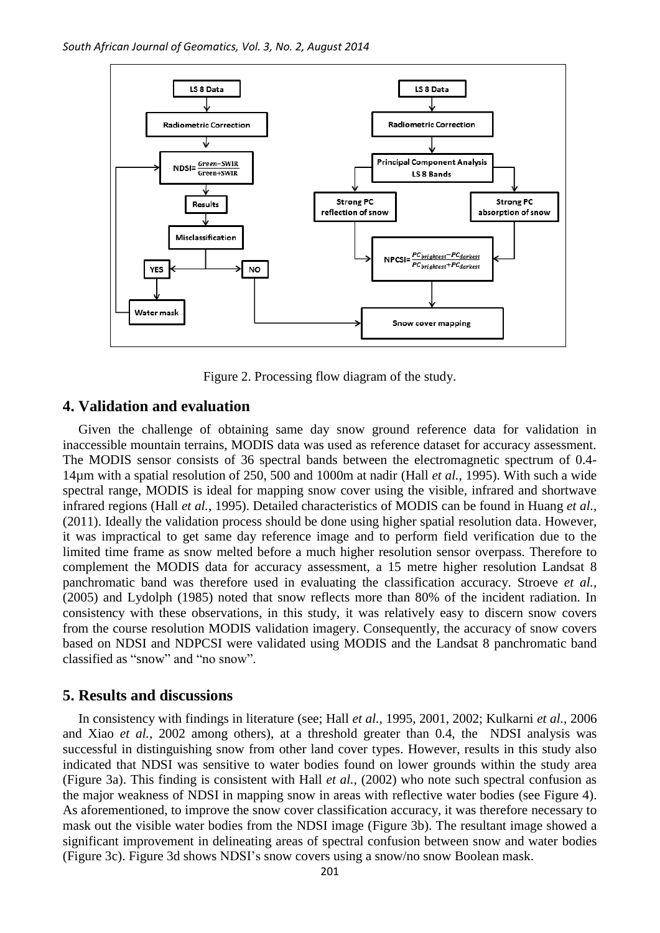

Figure 2. Processing flow diagram of the study.

## **4. Validation and evaluation**

Given the challenge of obtaining same day snow ground reference data for validation in inaccessible mountain terrains, MODIS data was used as reference dataset for accuracy assessment. The MODIS sensor consists of 36 spectral bands between the electromagnetic spectrum of 0.4- 14µm with a spatial resolution of 250, 500 and 1000m at nadir (Hall *et al.*, 1995). With such a wide spectral range, MODIS is ideal for mapping snow cover using the visible, infrared and shortwave infrared regions (Hall *et al.*, 1995). Detailed characteristics of MODIS can be found in Huang *et al.,* (2011). Ideally the validation process should be done using higher spatial resolution data. However, it was impractical to get same day reference image and to perform field verification due to the limited time frame as snow melted before a much higher resolution sensor overpass. Therefore to complement the MODIS data for accuracy assessment, a 15 metre higher resolution Landsat 8 panchromatic band was therefore used in evaluating the classification accuracy. Stroeve *et al.,* (2005) and Lydolph (1985) noted that snow reflects more than 80% of the incident radiation. In consistency with these observations, in this study, it was relatively easy to discern snow covers from the course resolution MODIS validation imagery. Consequently, the accuracy of snow covers based on NDSI and NDPCSI were validated using MODIS and the Landsat 8 panchromatic band classified as "snow" and "no snow".

## **5. Results and discussions**

In consistency with findings in literature (see; Hall *et al.,* 1995, 2001, 2002; Kulkarni *et al.,* 2006 and Xiao *et al.,* 2002 among others), at a threshold greater than 0.4, the NDSI analysis was successful in distinguishing snow from other land cover types. However, results in this study also indicated that NDSI was sensitive to water bodies found on lower grounds within the study area (Figure 3a). This finding is consistent with Hall *et al.,* (2002) who note such spectral confusion as the major weakness of NDSI in mapping snow in areas with reflective water bodies (see Figure 4). As aforementioned, to improve the snow cover classification accuracy, it was therefore necessary to mask out the visible water bodies from the NDSI image (Figure 3b). The resultant image showed a significant improvement in delineating areas of spectral confusion between snow and water bodies (Figure 3c). Figure 3d shows NDSI's snow covers using a snow/no snow Boolean mask.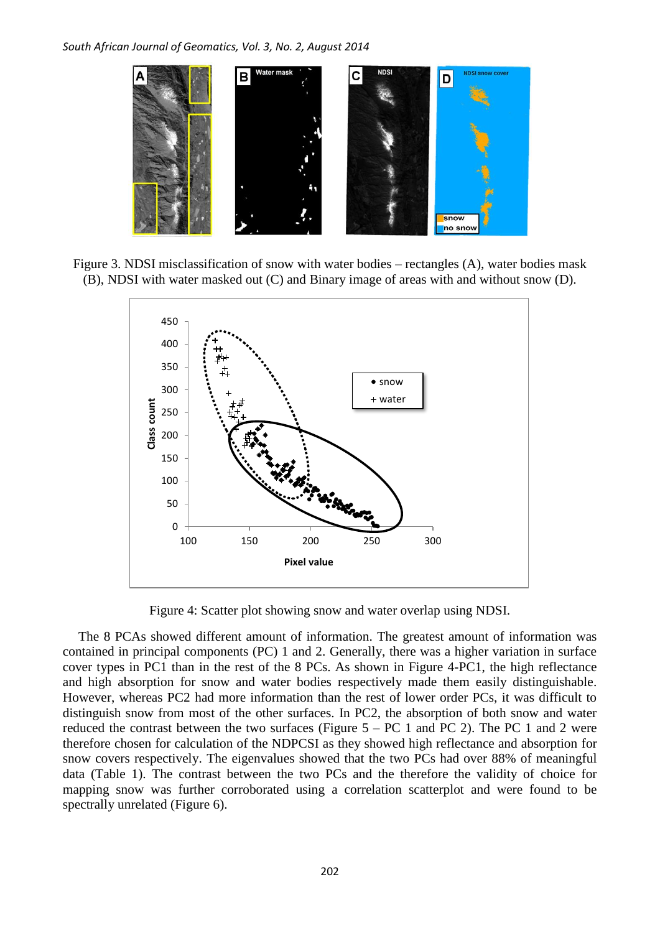

Figure 3. NDSI misclassification of snow with water bodies – rectangles (A), water bodies mask (B), NDSI with water masked out (C) and Binary image of areas with and without snow (D).



Figure 4: Scatter plot showing snow and water overlap using NDSI.

The 8 PCAs showed different amount of information. The greatest amount of information was contained in principal components (PC) 1 and 2. Generally, there was a higher variation in surface cover types in PC1 than in the rest of the 8 PCs. As shown in Figure 4-PC1, the high reflectance and high absorption for snow and water bodies respectively made them easily distinguishable. However, whereas PC2 had more information than the rest of lower order PCs, it was difficult to distinguish snow from most of the other surfaces. In PC2, the absorption of both snow and water reduced the contrast between the two surfaces (Figure  $5 - PC$  1 and PC 2). The PC 1 and 2 were therefore chosen for calculation of the NDPCSI as they showed high reflectance and absorption for snow covers respectively. The eigenvalues showed that the two PCs had over 88% of meaningful data (Table 1). The contrast between the two PCs and the therefore the validity of choice for mapping snow was further corroborated using a correlation scatterplot and were found to be spectrally unrelated (Figure 6).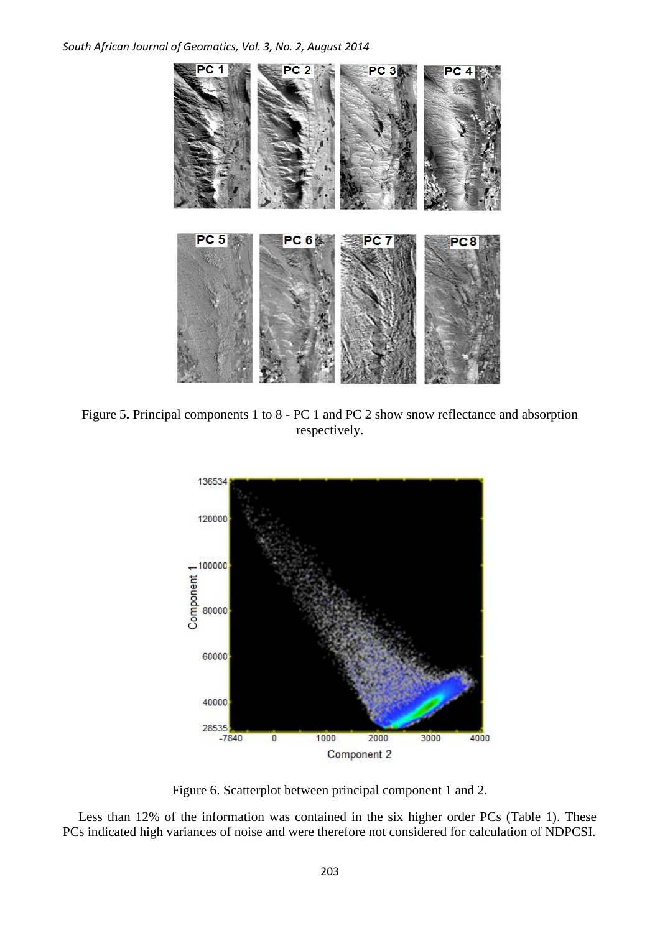

Figure 5**.** Principal components 1 to 8 - PC 1 and PC 2 show snow reflectance and absorption respectively.



Figure 6. Scatterplot between principal component 1 and 2.

Less than 12% of the information was contained in the six higher order PCs (Table 1). These PCs indicated high variances of noise and were therefore not considered for calculation of NDPCSI.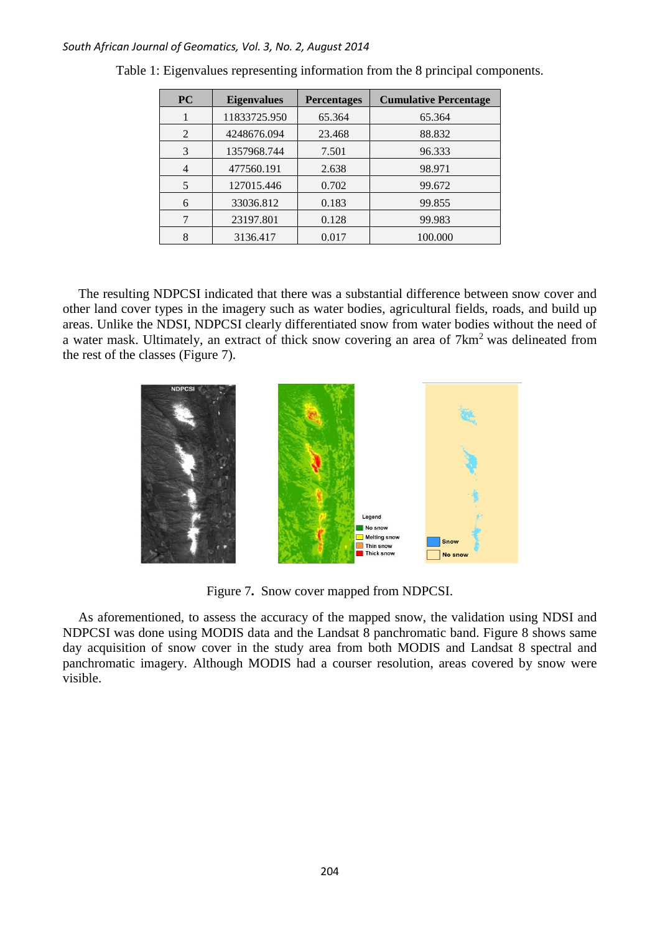| PC             | <b>Eigenvalues</b> | <b>Percentages</b> | <b>Cumulative Percentage</b> |
|----------------|--------------------|--------------------|------------------------------|
|                | 11833725.950       | 65.364             | 65.364                       |
| $\overline{2}$ | 4248676.094        | 23.468             | 88.832                       |
| 3              | 1357968.744        | 7.501              | 96.333                       |
|                | 477560.191         | 2.638              | 98.971                       |
| 5              | 127015.446         | 0.702              | 99.672                       |
| 6              | 33036.812          | 0.183              | 99.855                       |
|                | 23197.801          | 0.128              | 99.983                       |
| 8              | 3136.417           | 0.017              | 100.000                      |

|  |  |  | Table 1: Eigenvalues representing information from the 8 principal components. |
|--|--|--|--------------------------------------------------------------------------------|
|  |  |  |                                                                                |

The resulting NDPCSI indicated that there was a substantial difference between snow cover and other land cover types in the imagery such as water bodies, agricultural fields, roads, and build up areas. Unlike the NDSI, NDPCSI clearly differentiated snow from water bodies without the need of a water mask. Ultimately, an extract of thick snow covering an area of 7km<sup>2</sup> was delineated from the rest of the classes (Figure 7).



Figure 7**.** Snow cover mapped from NDPCSI.

As aforementioned, to assess the accuracy of the mapped snow, the validation using NDSI and NDPCSI was done using MODIS data and the Landsat 8 panchromatic band. Figure 8 shows same day acquisition of snow cover in the study area from both MODIS and Landsat 8 spectral and panchromatic imagery. Although MODIS had a courser resolution, areas covered by snow were visible.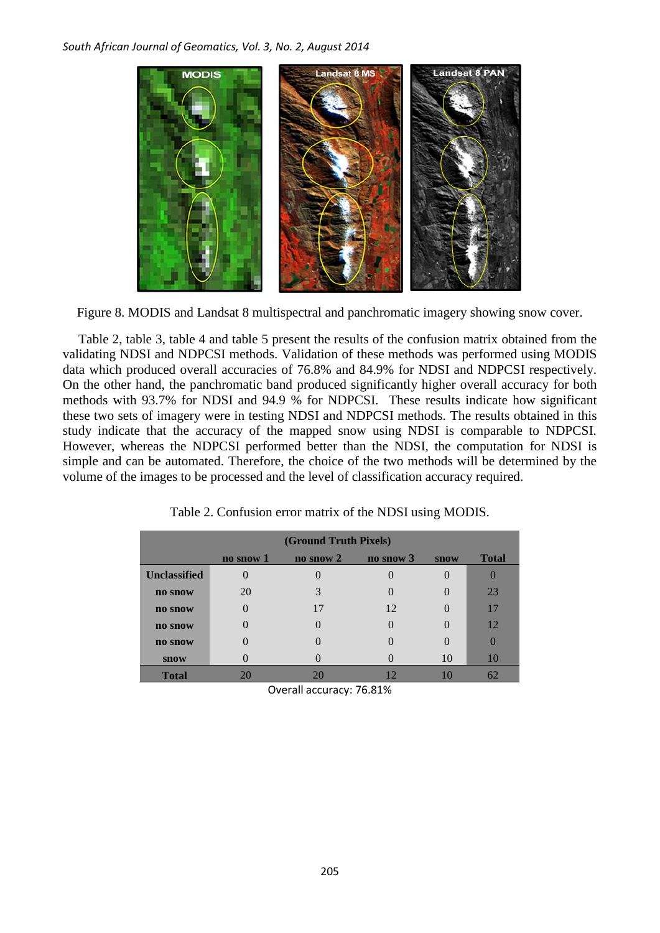

Figure 8. MODIS and Landsat 8 multispectral and panchromatic imagery showing snow cover.

Table 2, table 3, table 4 and table 5 present the results of the confusion matrix obtained from the validating NDSI and NDPCSI methods. Validation of these methods was performed using MODIS data which produced overall accuracies of 76.8% and 84.9% for NDSI and NDPCSI respectively. On the other hand, the panchromatic band produced significantly higher overall accuracy for both methods with 93.7% for NDSI and 94.9 % for NDPCSI. These results indicate how significant these two sets of imagery were in testing NDSI and NDPCSI methods. The results obtained in this study indicate that the accuracy of the mapped snow using NDSI is comparable to NDPCSI. However, whereas the NDPCSI performed better than the NDSI, the computation for NDSI is simple and can be automated. Therefore, the choice of the two methods will be determined by the volume of the images to be processed and the level of classification accuracy required.

| (Ground Truth Pixels) |                  |           |           |          |              |  |
|-----------------------|------------------|-----------|-----------|----------|--------------|--|
|                       | no snow 1        | no snow 2 | no snow 3 | snow     | <b>Total</b> |  |
| <b>Unclassified</b>   | $\Omega$         |           |           | $\Omega$ |              |  |
| no snow               | 20               | 3         |           |          | 23           |  |
| no snow               | $\Omega$         | 17        | 12        |          | 17           |  |
| no snow               | $\left( \right)$ |           |           |          | 12           |  |
| no snow               |                  |           |           |          |              |  |
| snow                  |                  |           |           | 10       | 10           |  |
| <b>Total</b>          | 20               |           | 12        |          | 62           |  |

Table 2. Confusion error matrix of the NDSI using MODIS.

Overall accuracy: 76.81%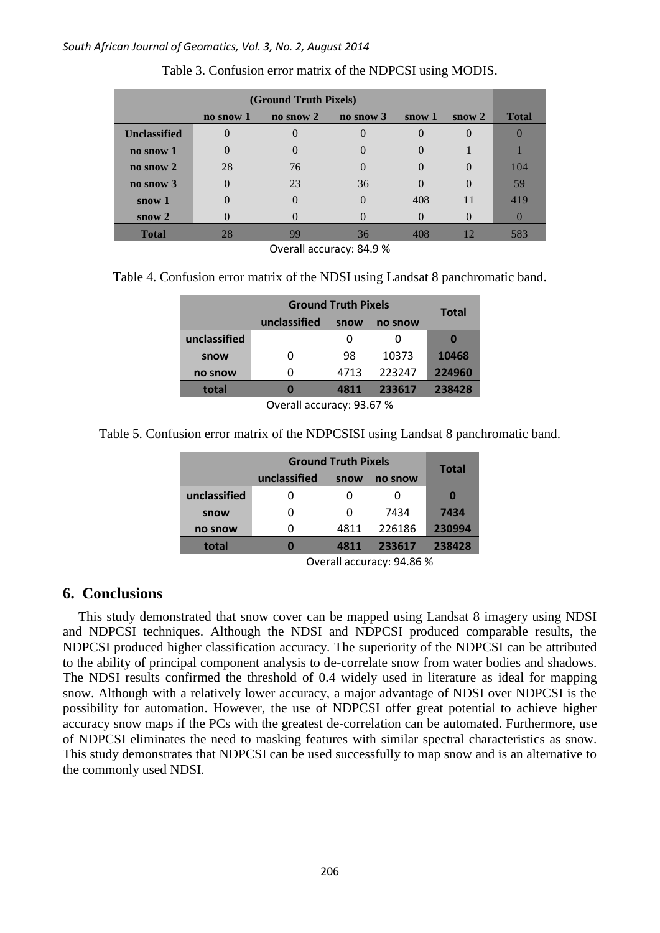| (Ground Truth Pixels) |           |           |           |        |                  |              |
|-----------------------|-----------|-----------|-----------|--------|------------------|--------------|
|                       | no snow 1 | no snow 2 | no snow 3 | snow 1 | snow $2$         | <b>Total</b> |
| <b>Unclassified</b>   |           |           |           |        | $\left( \right)$ | U            |
| no snow 1             |           |           |           |        |                  |              |
| no snow 2             | 28        | 76        |           |        | $\Omega$         | 104          |
| no snow 3             |           | 23        | 36        |        | $\mathbf{0}$     | 59           |
| snow 1                |           |           |           | 408    | 11               | 419          |
| $\mathbf{snow} 2$     |           |           |           |        |                  |              |
| <b>Total</b>          | 28        | 99        | 36        | 408    |                  | 583          |

## Table 3. Confusion error matrix of the NDPCSI using MODIS.

Overall accuracy: 84.9 %

Table 4. Confusion error matrix of the NDSI using Landsat 8 panchromatic band.

|              | <b>Ground Truth Pixels</b> |      |        | <b>Total</b> |  |  |
|--------------|----------------------------|------|--------|--------------|--|--|
|              | unclassified               |      |        |              |  |  |
| unclassified |                            | O    |        |              |  |  |
| snow         | O                          | 98   | 10373  | 10468        |  |  |
| no snow      | 0                          | 4713 | 223247 | 224960       |  |  |
| total        |                            | 4811 | 233617 | 238428       |  |  |
|              |                            |      |        |              |  |  |

Overall accuracy: 93.67 %

Table 5. Confusion error matrix of the NDPCSISI using Landsat 8 panchromatic band.

|              | <b>Total</b> |      |        |        |
|--------------|--------------|------|--------|--------|
|              | unclassified |      |        |        |
| unclassified | O            | O    |        |        |
| snow         | 0            | O    | 7434   | 7434   |
| no snow      | Ω            | 4811 | 226186 | 230994 |
| total        | O            |      | 233617 | 238428 |

Overall accuracy: 94.86 %

## **6. Conclusions**

This study demonstrated that snow cover can be mapped using Landsat 8 imagery using NDSI and NDPCSI techniques. Although the NDSI and NDPCSI produced comparable results, the NDPCSI produced higher classification accuracy. The superiority of the NDPCSI can be attributed to the ability of principal component analysis to de-correlate snow from water bodies and shadows. The NDSI results confirmed the threshold of 0.4 widely used in literature as ideal for mapping snow. Although with a relatively lower accuracy, a major advantage of NDSI over NDPCSI is the possibility for automation. However, the use of NDPCSI offer great potential to achieve higher accuracy snow maps if the PCs with the greatest de-correlation can be automated. Furthermore, use of NDPCSI eliminates the need to masking features with similar spectral characteristics as snow. This study demonstrates that NDPCSI can be used successfully to map snow and is an alternative to the commonly used NDSI.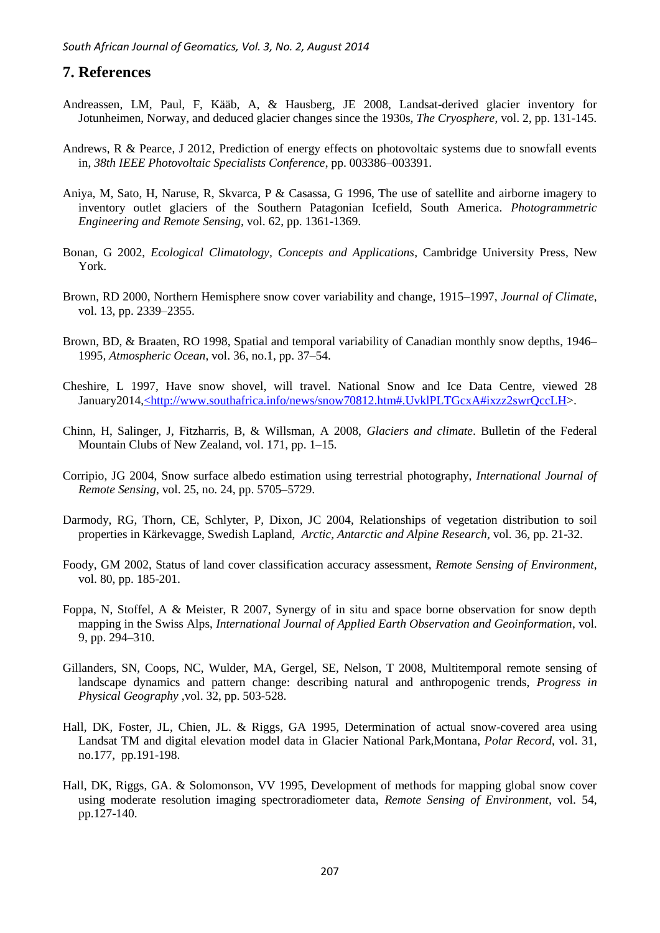## **7. References**

- Andreassen, LM, Paul, F, Kääb, A, & Hausberg, JE 2008, Landsat-derived glacier inventory for Jotunheimen, Norway, and deduced glacier changes since the 1930s, *The Cryosphere*, vol. 2, pp. 131-145.
- Andrews, R & Pearce, J 2012, [Prediction of energy effects on photovoltaic systems due to snowfall events](http://www.ieee-pvsc.org/ePVSC/manuscripts/MePVSC566_0521131900.pdf) in, *38th IEEE Photovoltaic Specialists Conference*, pp. 003386–003391.
- Aniya, M, Sato, H, Naruse, R, Skvarca, P & Casassa, G 1996, The use of satellite and airborne imagery to inventory outlet glaciers of the Southern Patagonian Icefield, South America. *Photogrammetric Engineering and Remote Sensing,* vol. 62, pp. 1361-1369.
- Bonan, G 2002, *Ecological Climatology, Concepts and Applications*, Cambridge University Press, New York.
- Brown, RD 2000, Northern Hemisphere snow cover variability and change, 1915–1997, *Journal of Climate*, vol. 13, pp. 2339–2355.
- Brown, BD, & Braaten, RO 1998, Spatial and temporal variability of Canadian monthly snow depths, 1946– 1995*, Atmospheric Ocean*, vol. 36, no.1, pp. 37–54.
- Cheshire, L 1997, Have snow shovel, will travel. National Snow and Ice Data Centre, viewed 28 January2014,[<http://www.southafrica.info/news/snow70812.htm#.UvklPLTGcxA#ixzz2swrQccLH>](http://www.southafrica.info/news/snow70812.htm#ixzz2swrQccLH).
- Chinn, H, Salinger, J, Fitzharris, B, & Willsman, A 2008, *Glaciers and climate*. Bulletin of the Federal Mountain Clubs of New Zealand, vol. 171, pp. 1–15.
- Corripio, JG 2004, Snow surface albedo estimation using terrestrial photography, *International Journal of Remote Sensing*, vol. 25, no. 24, pp. 5705–5729.
- Darmody, RG, Thorn, CE, Schlyter, P, Dixon, JC 2004, Relationships of vegetation distribution to soil properties in Kärkevagge, Swedish Lapland, *Arctic, Antarctic and Alpine Research,* vol. 36, pp. 21-32.
- Foody, GM 2002, Status of land cover classification accuracy assessment, *Remote Sensing of Environment*, vol. 80, pp. 185-201.
- Foppa, N, Stoffel, A & Meister, R 2007, Synergy of in situ and space borne observation for snow depth mapping in the Swiss Alps, *International Journal of Applied Earth Observation and Geoinformation*, vol. 9, pp. 294–310.
- Gillanders, SN, Coops, NC, Wulder, MA, Gergel, SE, Nelson, T 2008, Multitemporal remote sensing of landscape dynamics and pattern change: describing natural and anthropogenic trends, *Progress in Physical Geography* ,vol. 32, pp. 503-528.
- Hall, DK, Foster, JL, Chien, JL. & Riggs, GA 1995, Determination of actual snow-covered area using Landsat TM and digital elevation model data in Glacier National Park,Montana, *Polar Record*, vol. 31, no.177, pp.191-198.
- Hall, DK, Riggs, GA. & Solomonson, VV 1995, Development of methods for mapping global snow cover using moderate resolution imaging spectroradiometer data, *Remote Sensing of Environment,* vol. 54, pp.127-140.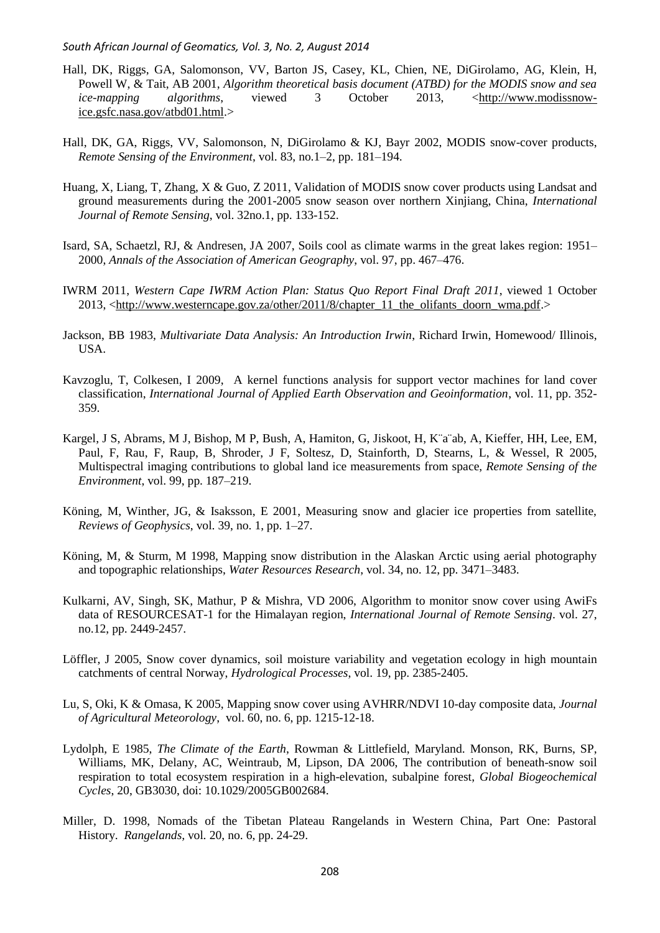- Hall, DK, Riggs, GA, Salomonson, VV, Barton JS, Casey, KL, Chien, NE, DiGirolamo, AG, Klein, H, Powell W, & Tait, AB 2001, *Algorithm theoretical basis document (ATBD) for the MODIS snow and sea ice-mapping algorithms*, viewed 3 October 2013, [<http://www.modissnow](http://www.modissnow-ice.gsfc.nasa.gov/atbd01.html)[ice.gsfc.nasa.gov/atbd01.html.>](http://www.modissnow-ice.gsfc.nasa.gov/atbd01.html)
- Hall, DK, GA, Riggs, VV, Salomonson, N, DiGirolamo & KJ, Bayr 2002, MODIS snow-cover products, *Remote Sensing of the Environment*, vol. 83, no.1–2, pp. 181–194.
- Huang, X, Liang, T, Zhang, X & Guo, Z 2011, Validation of MODIS snow cover products using Landsat and ground measurements during the 2001-2005 snow season over northern Xinjiang, China, *International Journal of Remote Sensing*, vol. 32no.1, pp. 133-152.
- Isard, SA, Schaetzl, RJ, & Andresen, JA 2007, Soils cool as climate warms in the great lakes region: 1951– 2000, *Annals of the Association of American Geography*, vol. 97, pp. 467–476.
- IWRM 2011, *Western Cape IWRM Action Plan: Status Quo Report Final Draft 2011*, viewed 1 October 2013, <http://www.westerncape.gov.za/other/2011/8/chapter 11 the olifants doorn wma.pdf.>
- Jackson, BB 1983, *Multivariate Data Analysis: An Introduction Irwin*, Richard Irwin, Homewood/ Illinois, USA.
- <span id="page-11-0"></span>Kavzoglu, T, Colkesen, I 2009, A kernel functions analysis for support vector machines for land cover classification, *International Journal of Applied Earth Observation and Geoinformation*, vol. 11, pp. 352- 359.
- Kargel, J S, Abrams, M J, Bishop, M P, Bush, A, Hamiton, G, Jiskoot, H, K¨a¨ab, A, Kieffer, HH, Lee, EM, Paul, F, Rau, F, Raup, B, Shroder, J F, Soltesz, D, Stainforth, D, Stearns, L, & Wessel, R 2005, Multispectral imaging contributions to global land ice measurements from space, *Remote Sensing of the Environment*, vol. 99, pp. 187–219.
- Köning, M, Winther, JG, & Isaksson, E 2001, Measuring snow and glacier ice properties from satellite, *Reviews of Geophysics*, vol. 39, no. 1, pp. 1–27.
- Köning, M, & Sturm, M 1998, Mapping snow distribution in the Alaskan Arctic using aerial photography and topographic relationships, *Water Resources Research*, vol. 34, no. 12, pp. 3471–3483.
- Kulkarni, AV, Singh, SK, Mathur, P & Mishra, VD 2006, Algorithm to monitor snow cover using AwiFs data of RESOURCESAT-1 for the Himalayan region, *International Journal of Remote Sensing*. vol. 27, no.12, pp. 2449-2457.
- Löffler, J 2005, Snow cover dynamics, soil moisture variability and vegetation ecology in high mountain catchments of central Norway, *Hydrological Processes*, vol. 19, pp. 2385-2405.
- Lu, S, Oki, K & Omasa, K 2005, Mapping snow cover using AVHRR/NDVI 10-day composite data, *Journal of Agricultural Meteorology*, vol. 60, no. 6, pp. 1215-12-18.
- Lydolph, E 1985, *[The Climate of the Earth](http://books.google.com/?id=bBjIuXHEgZ4C&pg=PA104)*, Rowman & Littlefield, Maryland. Monson, RK, Burns, SP, Williams, MK, Delany, AC, Weintraub, M, Lipson, DA 2006, The contribution of beneath-snow soil respiration to total ecosystem respiration in a high-elevation, subalpine forest, *Global Biogeochemical Cycles*, 20, GB3030, doi: 10.1029/2005GB002684.
- Miller, D. 1998, Nomads of the Tibetan Plateau Rangelands in Western China, Part One: Pastoral History. *Rangelands,* vol*.* 20, no. 6, pp. 24-29.